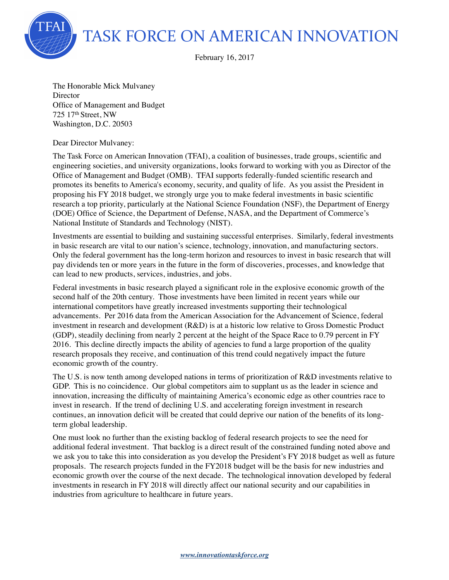TASK FORCE ON AMERICAN INNOVATION

February 16, 2017

The Honorable Mick Mulvaney **Director** Office of Management and Budget 725 17th Street, NW Washington, D.C. 20503

Dear Director Mulvaney:

The Task Force on American Innovation (TFAI), a coalition of businesses, trade groups, scientific and engineering societies, and university organizations, looks forward to working with you as Director of the Office of Management and Budget (OMB). TFAI supports federally-funded scientific research and promotes its benefits to America's economy, security, and quality of life. As you assist the President in proposing his FY 2018 budget, we strongly urge you to make federal investments in basic scientific research a top priority, particularly at the National Science Foundation (NSF), the Department of Energy (DOE) Office of Science, the Department of Defense, NASA, and the Department of Commerce's National Institute of Standards and Technology (NIST).

Investments are essential to building and sustaining successful enterprises. Similarly, federal investments in basic research are vital to our nation's science, technology, innovation, and manufacturing sectors. Only the federal government has the long-term horizon and resources to invest in basic research that will pay dividends ten or more years in the future in the form of discoveries, processes, and knowledge that can lead to new products, services, industries, and jobs.

Federal investments in basic research played a significant role in the explosive economic growth of the second half of the 20th century. Those investments have been limited in recent years while our international competitors have greatly increased investments supporting their technological advancements. Per 2016 data from the American Association for the Advancement of Science, federal investment in research and development (R&D) is at a historic low relative to Gross Domestic Product (GDP), steadily declining from nearly 2 percent at the height of the Space Race to 0.79 percent in FY 2016. This decline directly impacts the ability of agencies to fund a large proportion of the quality research proposals they receive, and continuation of this trend could negatively impact the future economic growth of the country.

The U.S. is now tenth among developed nations in terms of prioritization of R&D investments relative to GDP. This is no coincidence. Our global competitors aim to supplant us as the leader in science and innovation, increasing the difficulty of maintaining America's economic edge as other countries race to invest in research. If the trend of declining U.S. and accelerating foreign investment in research continues, an innovation deficit will be created that could deprive our nation of the benefits of its longterm global leadership.

One must look no further than the existing backlog of federal research projects to see the need for additional federal investment. That backlog is a direct result of the constrained funding noted above and we ask you to take this into consideration as you develop the President's FY 2018 budget as well as future proposals. The research projects funded in the FY2018 budget will be the basis for new industries and economic growth over the course of the next decade. The technological innovation developed by federal investments in research in FY 2018 will directly affect our national security and our capabilities in industries from agriculture to healthcare in future years.